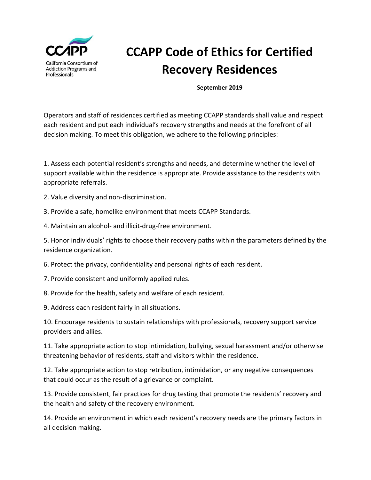

## **CCAPP Code of Ethics for Certified Recovery Residences**

**September 2019** 

Operators and staff of residences certified as meeting CCAPP standards shall value and respect each resident and put each individual's recovery strengths and needs at the forefront of all decision making. To meet this obligation, we adhere to the following principles:

1. Assess each potential resident's strengths and needs, and determine whether the level of support available within the residence is appropriate. Provide assistance to the residents with appropriate referrals.

2. Value diversity and non-discrimination.

3. Provide a safe, homelike environment that meets CCAPP Standards.

4. Maintain an alcohol- and illicit-drug-free environment.

5. Honor individuals' rights to choose their recovery paths within the parameters defined by the residence organization.

6. Protect the privacy, confidentiality and personal rights of each resident.

- 7. Provide consistent and uniformly applied rules.
- 8. Provide for the health, safety and welfare of each resident.

9. Address each resident fairly in all situations.

10. Encourage residents to sustain relationships with professionals, recovery support service providers and allies.

11. Take appropriate action to stop intimidation, bullying, sexual harassment and/or otherwise threatening behavior of residents, staff and visitors within the residence.

12. Take appropriate action to stop retribution, intimidation, or any negative consequences that could occur as the result of a grievance or complaint.

13. Provide consistent, fair practices for drug testing that promote the residents' recovery and the health and safety of the recovery environment.

14. Provide an environment in which each resident's recovery needs are the primary factors in all decision making.